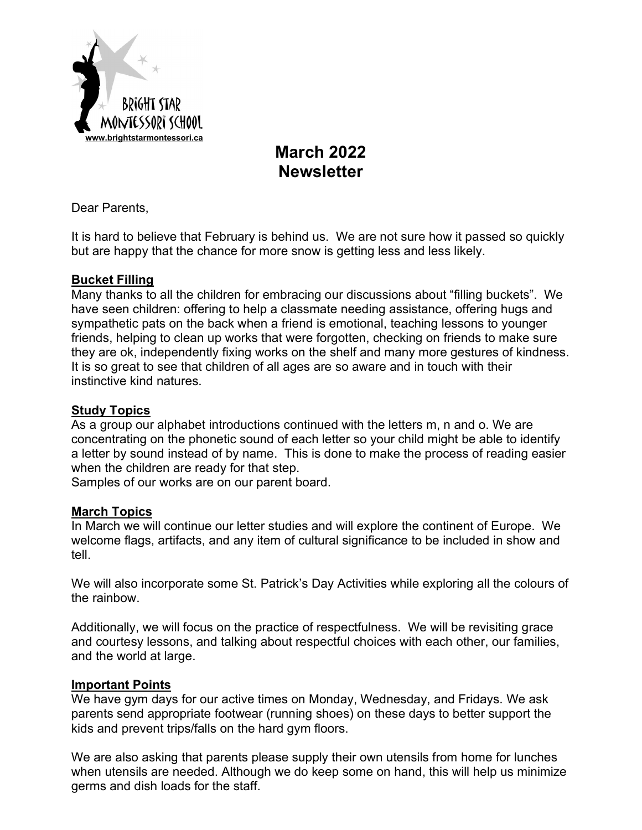

# **March 2022 Newsletter**

Dear Parents,

It is hard to believe that February is behind us. We are not sure how it passed so quickly but are happy that the chance for more snow is getting less and less likely.

### **Bucket Filling**

Many thanks to all the children for embracing our discussions about "filling buckets". We have seen children: offering to help a classmate needing assistance, offering hugs and sympathetic pats on the back when a friend is emotional, teaching lessons to younger friends, helping to clean up works that were forgotten, checking on friends to make sure they are ok, independently fixing works on the shelf and many more gestures of kindness. It is so great to see that children of all ages are so aware and in touch with their instinctive kind natures.

### **Study Topics**

As a group our alphabet introductions continued with the letters m, n and o. We are concentrating on the phonetic sound of each letter so your child might be able to identify a letter by sound instead of by name. This is done to make the process of reading easier when the children are ready for that step.

Samples of our works are on our parent board.

### **March Topics**

In March we will continue our letter studies and will explore the continent of Europe. We welcome flags, artifacts, and any item of cultural significance to be included in show and tell.

We will also incorporate some St. Patrick's Day Activities while exploring all the colours of the rainbow.

Additionally, we will focus on the practice of respectfulness. We will be revisiting grace and courtesy lessons, and talking about respectful choices with each other, our families, and the world at large.

### **Important Points**

We have gym days for our active times on Monday, Wednesday, and Fridays. We ask parents send appropriate footwear (running shoes) on these days to better support the kids and prevent trips/falls on the hard gym floors.

We are also asking that parents please supply their own utensils from home for lunches when utensils are needed. Although we do keep some on hand, this will help us minimize germs and dish loads for the staff.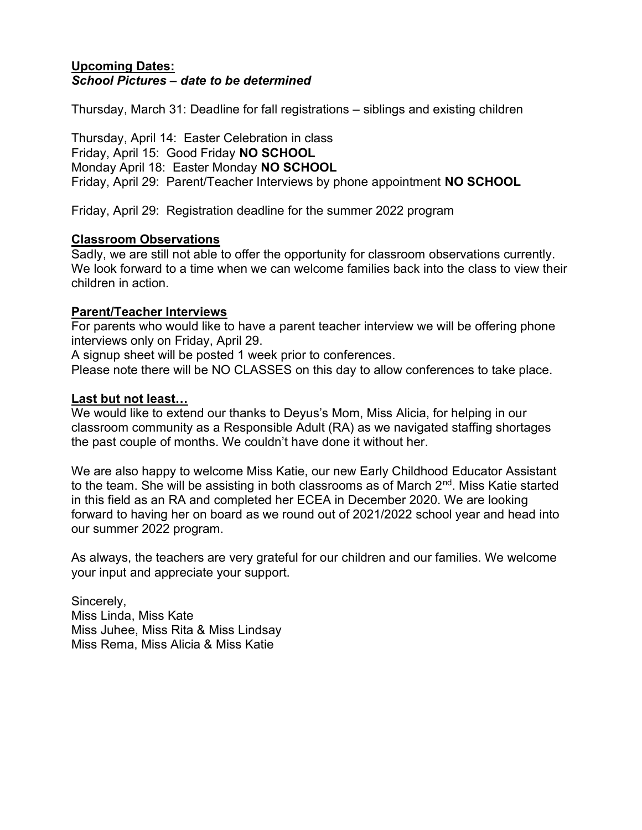#### **Upcoming Dates:**  *School Pictures – date to be determined*

Thursday, March 31: Deadline for fall registrations – siblings and existing children

Thursday, April 14: Easter Celebration in class Friday, April 15: Good Friday **NO SCHOOL**  Monday April 18: Easter Monday **NO SCHOOL** Friday, April 29: Parent/Teacher Interviews by phone appointment **NO SCHOOL** 

Friday, April 29: Registration deadline for the summer 2022 program

#### **Classroom Observations**

Sadly, we are still not able to offer the opportunity for classroom observations currently. We look forward to a time when we can welcome families back into the class to view their children in action.

#### **Parent/Teacher Interviews**

For parents who would like to have a parent teacher interview we will be offering phone interviews only on Friday, April 29.

A signup sheet will be posted 1 week prior to conferences.

Please note there will be NO CLASSES on this day to allow conferences to take place.

#### **Last but not least…**

We would like to extend our thanks to Deyus's Mom, Miss Alicia, for helping in our classroom community as a Responsible Adult (RA) as we navigated staffing shortages the past couple of months. We couldn't have done it without her.

We are also happy to welcome Miss Katie, our new Early Childhood Educator Assistant to the team. She will be assisting in both classrooms as of March 2<sup>nd</sup>. Miss Katie started in this field as an RA and completed her ECEA in December 2020. We are looking forward to having her on board as we round out of 2021/2022 school year and head into our summer 2022 program.

As always, the teachers are very grateful for our children and our families. We welcome your input and appreciate your support.

Sincerely, Miss Linda, Miss Kate Miss Juhee, Miss Rita & Miss Lindsay Miss Rema, Miss Alicia & Miss Katie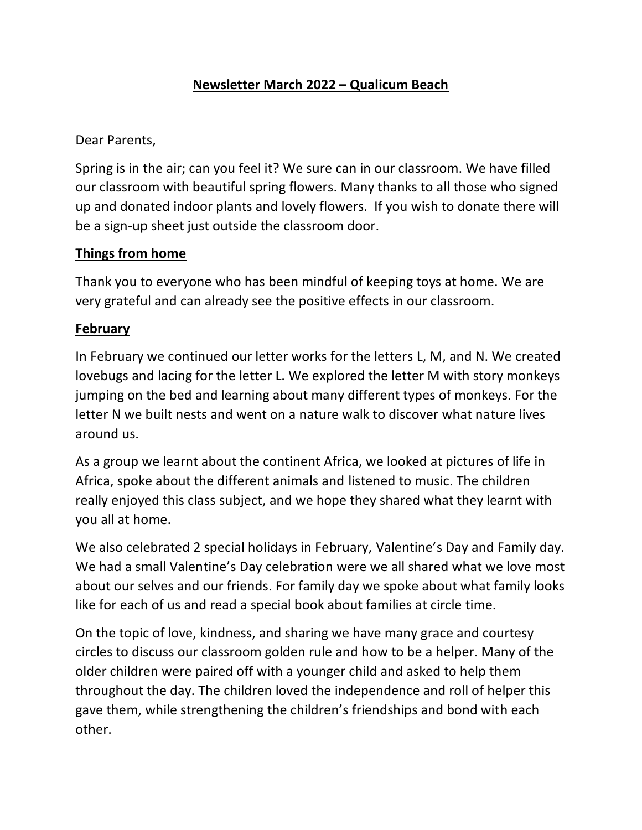# **Newsletter March 2022 – Qualicum Beach**

Dear Parents,

Spring is in the air; can you feel it? We sure can in our classroom. We have filled our classroom with beautiful spring flowers. Many thanks to all those who signed up and donated indoor plants and lovely flowers. If you wish to donate there will be a sign-up sheet just outside the classroom door.

### **Things from home**

Thank you to everyone who has been mindful of keeping toys at home. We are very grateful and can already see the positive effects in our classroom.

### **February**

In February we continued our letter works for the letters L, M, and N. We created lovebugs and lacing for the letter L. We explored the letter M with story monkeys jumping on the bed and learning about many different types of monkeys. For the letter N we built nests and went on a nature walk to discover what nature lives around us.

As a group we learnt about the continent Africa, we looked at pictures of life in Africa, spoke about the different animals and listened to music. The children really enjoyed this class subject, and we hope they shared what they learnt with you all at home.

We also celebrated 2 special holidays in February, Valentine's Day and Family day. We had a small Valentine's Day celebration were we all shared what we love most about our selves and our friends. For family day we spoke about what family looks like for each of us and read a special book about families at circle time.

On the topic of love, kindness, and sharing we have many grace and courtesy circles to discuss our classroom golden rule and how to be a helper. Many of the older children were paired off with a younger child and asked to help them throughout the day. The children loved the independence and roll of helper this gave them, while strengthening the children's friendships and bond with each other.